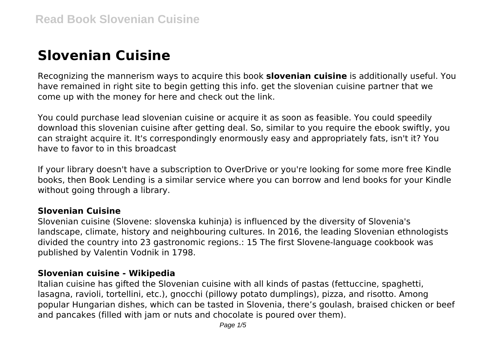# **Slovenian Cuisine**

Recognizing the mannerism ways to acquire this book **slovenian cuisine** is additionally useful. You have remained in right site to begin getting this info. get the slovenian cuisine partner that we come up with the money for here and check out the link.

You could purchase lead slovenian cuisine or acquire it as soon as feasible. You could speedily download this slovenian cuisine after getting deal. So, similar to you require the ebook swiftly, you can straight acquire it. It's correspondingly enormously easy and appropriately fats, isn't it? You have to favor to in this broadcast

If your library doesn't have a subscription to OverDrive or you're looking for some more free Kindle books, then Book Lending is a similar service where you can borrow and lend books for your Kindle without going through a library.

#### **Slovenian Cuisine**

Slovenian cuisine (Slovene: slovenska kuhinja) is influenced by the diversity of Slovenia's landscape, climate, history and neighbouring cultures. In 2016, the leading Slovenian ethnologists divided the country into 23 gastronomic regions.: 15 The first Slovene-language cookbook was published by Valentin Vodnik in 1798.

#### **Slovenian cuisine - Wikipedia**

Italian cuisine has gifted the Slovenian cuisine with all kinds of pastas (fettuccine, spaghetti, lasagna, ravioli, tortellini, etc.), gnocchi (pillowy potato dumplings), pizza, and risotto. Among popular Hungarian dishes, which can be tasted in Slovenia, there's goulash, braised chicken or beef and pancakes (filled with jam or nuts and chocolate is poured over them).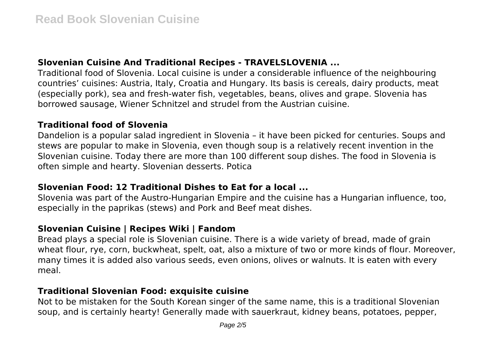# **Slovenian Cuisine And Traditional Recipes - TRAVELSLOVENIA ...**

Traditional food of Slovenia. Local cuisine is under a considerable influence of the neighbouring countries' cuisines: Austria, Italy, Croatia and Hungary. Its basis is cereals, dairy products, meat (especially pork), sea and fresh-water fish, vegetables, beans, olives and grape. Slovenia has borrowed sausage, Wiener Schnitzel and strudel from the Austrian cuisine.

#### **Traditional food of Slovenia**

Dandelion is a popular salad ingredient in Slovenia – it have been picked for centuries. Soups and stews are popular to make in Slovenia, even though soup is a relatively recent invention in the Slovenian cuisine. Today there are more than 100 different soup dishes. The food in Slovenia is often simple and hearty. Slovenian desserts. Potica

## **Slovenian Food: 12 Traditional Dishes to Eat for a local ...**

Slovenia was part of the Austro-Hungarian Empire and the cuisine has a Hungarian influence, too, especially in the paprikas (stews) and Pork and Beef meat dishes.

# **Slovenian Cuisine | Recipes Wiki | Fandom**

Bread plays a special role is Slovenian cuisine. There is a wide variety of bread, made of grain wheat flour, rye, corn, buckwheat, spelt, oat, also a mixture of two or more kinds of flour. Moreover, many times it is added also various seeds, even onions, olives or walnuts. It is eaten with every meal.

## **Traditional Slovenian Food: exquisite cuisine**

Not to be mistaken for the South Korean singer of the same name, this is a traditional Slovenian soup, and is certainly hearty! Generally made with sauerkraut, kidney beans, potatoes, pepper,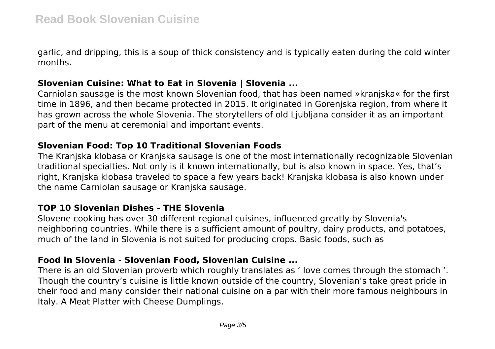garlic, and dripping, this is a soup of thick consistency and is typically eaten during the cold winter months.

## **Slovenian Cuisine: What to Eat in Slovenia | Slovenia ...**

Carniolan sausage is the most known Slovenian food, that has been named »kranjska« for the first time in 1896, and then became protected in 2015. It originated in Gorenjska region, from where it has grown across the whole Slovenia. The storytellers of old Ljubljana consider it as an important part of the menu at ceremonial and important events.

## **Slovenian Food: Top 10 Traditional Slovenian Foods**

The Kranjska klobasa or Kranjska sausage is one of the most internationally recognizable Slovenian traditional specialties. Not only is it known internationally, but is also known in space. Yes, that's right, Kranjska klobasa traveled to space a few years back! Kranjska klobasa is also known under the name Carniolan sausage or Kranjska sausage.

# **TOP 10 Slovenian Dishes - THE Slovenia**

Slovene cooking has over 30 different regional cuisines, influenced greatly by Slovenia's neighboring countries. While there is a sufficient amount of poultry, dairy products, and potatoes, much of the land in Slovenia is not suited for producing crops. Basic foods, such as

# **Food in Slovenia - Slovenian Food, Slovenian Cuisine ...**

There is an old Slovenian proverb which roughly translates as ' love comes through the stomach '. Though the country's cuisine is little known outside of the country, Slovenian's take great pride in their food and many consider their national cuisine on a par with their more famous neighbours in Italy. A Meat Platter with Cheese Dumplings.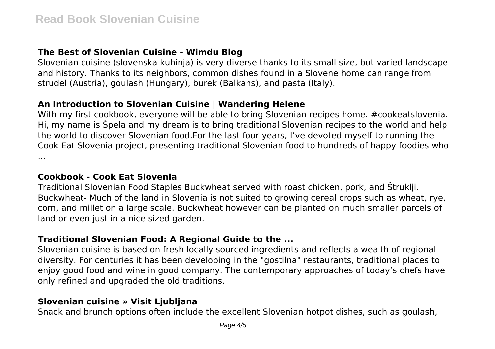# **The Best of Slovenian Cuisine - Wimdu Blog**

Slovenian cuisine (slovenska kuhinja) is very diverse thanks to its small size, but varied landscape and history. Thanks to its neighbors, common dishes found in a Slovene home can range from strudel (Austria), goulash (Hungary), burek (Balkans), and pasta (Italy).

## **An Introduction to Slovenian Cuisine | Wandering Helene**

With my first cookbook, everyone will be able to bring Slovenian recipes home. #cookeatslovenia. Hi, my name is Špela and my dream is to bring traditional Slovenian recipes to the world and help the world to discover Slovenian food.For the last four years, I've devoted myself to running the Cook Eat Slovenia project, presenting traditional Slovenian food to hundreds of happy foodies who ...

#### **Cookbook - Cook Eat Slovenia**

Traditional Slovenian Food Staples Buckwheat served with roast chicken, pork, and Štruklji. Buckwheat- Much of the land in Slovenia is not suited to growing cereal crops such as wheat, rye, corn, and millet on a large scale. Buckwheat however can be planted on much smaller parcels of land or even just in a nice sized garden.

# **Traditional Slovenian Food: A Regional Guide to the ...**

Slovenian cuisine is based on fresh locally sourced ingredients and reflects a wealth of regional diversity. For centuries it has been developing in the "gostilna" restaurants, traditional places to enjoy good food and wine in good company. The contemporary approaches of today's chefs have only refined and upgraded the old traditions.

#### **Slovenian cuisine » Visit Ljubljana**

Snack and brunch options often include the excellent Slovenian hotpot dishes, such as goulash,